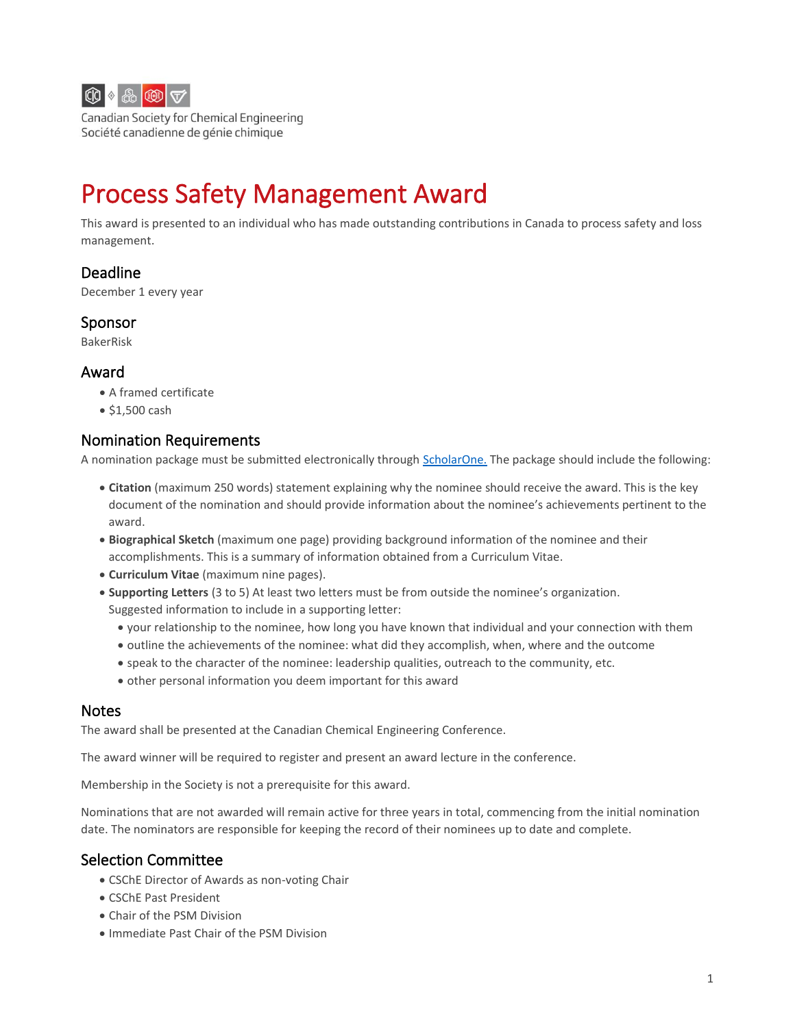

Canadian Society for Chemical Engineering Société canadienne de génie chimique

# Process Safety Management Award

This award is presented to an individual who has made outstanding contributions in Canada to process safety and loss management.

# Deadline

December 1 every year

## Sponsor

BakerRisk

## Award

- A framed certificate
- \$1,500 cash

# Nomination Requirements

A nomination package must be submitted electronically through [ScholarOne.](http://mc04.manuscriptcentral.com/cicawards) The package should include the following:

- **Citation** (maximum 250 words) statement explaining why the nominee should receive the award. This is the key document of the nomination and should provide information about the nominee's achievements pertinent to the award.
- **Biographical Sketch** (maximum one page) providing background information of the nominee and their accomplishments. This is a summary of information obtained from a Curriculum Vitae.
- **Curriculum Vitae** (maximum nine pages).
- **Supporting Letters** (3 to 5) At least two letters must be from outside the nominee's organization. Suggested information to include in a supporting letter:
	- your relationship to the nominee, how long you have known that individual and your connection with them
	- outline the achievements of the nominee: what did they accomplish, when, where and the outcome
	- speak to the character of the nominee: leadership qualities, outreach to the community, etc.
	- other personal information you deem important for this award

#### Notes

The award shall be presented at the Canadian Chemical Engineering Conference.

The award winner will be required to register and present an award lecture in the conference.

Membership in the Society is not a prerequisite for this award.

Nominations that are not awarded will remain active for three years in total, commencing from the initial nomination date. The nominators are responsible for keeping the record of their nominees up to date and complete.

# Selection Committee

- CSChE Director of Awards as non-voting Chair
- CSChE Past President
- Chair of the PSM Division
- Immediate Past Chair of the PSM Division